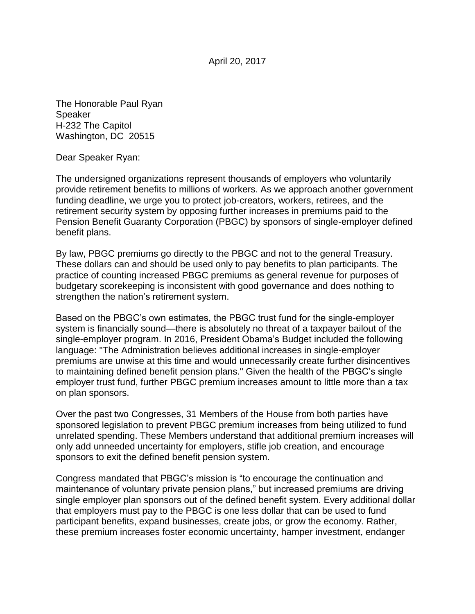April 20, 2017

The Honorable Paul Ryan Speaker H-232 The Capitol Washington, DC 20515

Dear Speaker Ryan:

The undersigned organizations represent thousands of employers who voluntarily provide retirement benefits to millions of workers. As we approach another government funding deadline, we urge you to protect job-creators, workers, retirees, and the retirement security system by opposing further increases in premiums paid to the Pension Benefit Guaranty Corporation (PBGC) by sponsors of single-employer defined benefit plans.

By law, PBGC premiums go directly to the PBGC and not to the general Treasury. These dollars can and should be used only to pay benefits to plan participants. The practice of counting increased PBGC premiums as general revenue for purposes of budgetary scorekeeping is inconsistent with good governance and does nothing to strengthen the nation's retirement system.

Based on the PBGC's own estimates, the PBGC trust fund for the single-employer system is financially sound—there is absolutely no threat of a taxpayer bailout of the single-employer program. In 2016, President Obama's Budget included the following language: "The Administration believes additional increases in single-employer premiums are unwise at this time and would unnecessarily create further disincentives to maintaining defined benefit pension plans." Given the health of the PBGC's single employer trust fund, further PBGC premium increases amount to little more than a tax on plan sponsors.

Over the past two Congresses, 31 Members of the House from both parties have sponsored legislation to prevent PBGC premium increases from being utilized to fund unrelated spending. These Members understand that additional premium increases will only add unneeded uncertainty for employers, stifle job creation, and encourage sponsors to exit the defined benefit pension system.

Congress mandated that PBGC's mission is "to encourage the continuation and maintenance of voluntary private pension plans," but increased premiums are driving single employer plan sponsors out of the defined benefit system. Every additional dollar that employers must pay to the PBGC is one less dollar that can be used to fund participant benefits, expand businesses, create jobs, or grow the economy. Rather, these premium increases foster economic uncertainty, hamper investment, endanger